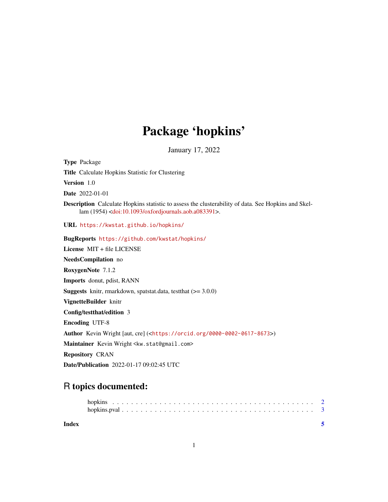## Package 'hopkins'

January 17, 2022

Title Calculate Hopkins Statistic for Clustering Version 1.0 Date 2022-01-01 Description Calculate Hopkins statistic to assess the clusterability of data. See Hopkins and Skellam (1954) [<doi:10.1093/oxfordjournals.aob.a083391>](https://doi.org/10.1093/oxfordjournals.aob.a083391). URL <https://kwstat.github.io/hopkins/> BugReports <https://github.com/kwstat/hopkins/> License MIT + file LICENSE NeedsCompilation no RoxygenNote 7.1.2 Imports donut, pdist, RANN **Suggests** knitr, rmarkdown, spatstat.data, test that  $(>= 3.0.0)$ VignetteBuilder knitr Config/testthat/edition 3 Encoding UTF-8 Author Kevin Wright [aut, cre] (<<https://orcid.org/0000-0002-0617-8673>>) Maintainer Kevin Wright <kw.stat@gmail.com> Repository CRAN Date/Publication 2022-01-17 09:02:45 UTC

### R topics documented:

Type Package

| Index |  |  |  |  |  |  |  |  |  |  |  |  |  |  |  |
|-------|--|--|--|--|--|--|--|--|--|--|--|--|--|--|--|

1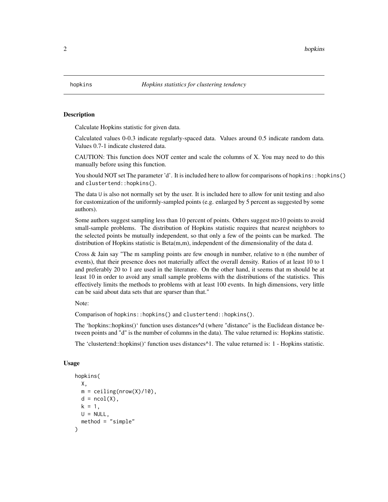<span id="page-1-0"></span>

#### Description

Calculate Hopkins statistic for given data.

Calculated values 0-0.3 indicate regularly-spaced data. Values around 0.5 indicate random data. Values 0.7-1 indicate clustered data.

CAUTION: This function does NOT center and scale the columns of X. You may need to do this manually before using this function.

You should NOT set The parameter 'd'. It is included here to allow for comparisons of hopkins::hopkins() and clustertend::hopkins().

The data U is also not normally set by the user. It is included here to allow for unit testing and also for customization of the uniformly-sampled points (e.g. enlarged by 5 percent as suggested by some authors).

Some authors suggest sampling less than 10 percent of points. Others suggest m>10 points to avoid small-sample problems. The distribution of Hopkins statistic requires that nearest neighbors to the selected points be mutually independent, so that only a few of the points can be marked. The distribution of Hopkins statistic is Beta(m,m), independent of the dimensionality of the data d.

Cross & Jain say "The m sampling points are few enough in number, relative to n (the number of events), that their presence does not materially affect the overall density. Ratios of at least 10 to 1 and preferably 20 to 1 are used in the literature. On the other hand, it seems that m should be at least 10 in order to avoid any small sample problems with the distributions of the statistics. This effectively limits the methods to problems with at least 100 events. In high dimensions, very little can be said about data sets that are sparser than that."

Note:

Comparison of hopkins::hopkins() and clustertend::hopkins().

The 'hopkins::hopkins()' function uses distances^d (where "distance" is the Euclidean distance between points and "d" is the number of columns in the data). The value returned is: Hopkins statistic.

The 'clustertend::hopkins()' function uses distances^1. The value returned is: 1 - Hopkins statistic.

#### Usage

```
hopkins(
 X,
m = ceiling(nrow(X)/10),
d = ncol(X),
k = 1,
U = NULL,method = "simple")
```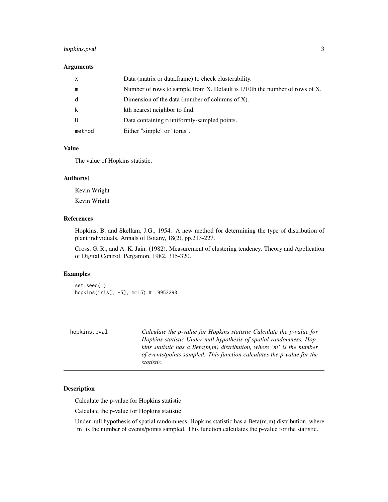#### <span id="page-2-0"></span>hopkins.pval 3

#### Arguments

| $\times$ | Data (matrix or data frame) to check clusterability.                        |
|----------|-----------------------------------------------------------------------------|
| m        | Number of rows to sample from X. Default is 1/10th the number of rows of X. |
| d        | Dimension of the data (number of columns of $X$ ).                          |
| k        | kth nearest neighbor to find.                                               |
| U        | Data containing m uniformly-sampled points.                                 |
| method   | Either "simple" or "torus".                                                 |

#### Value

The value of Hopkins statistic.

#### Author(s)

Kevin Wright Kevin Wright

#### References

Hopkins, B. and Skellam, J.G., 1954. A new method for determining the type of distribution of plant individuals. Annals of Botany, 18(2), pp.213-227.

Cross, G. R., and A. K. Jain. (1982). Measurement of clustering tendency. Theory and Application of Digital Control. Pergamon, 1982. 315-320.

#### Examples

set.seed(1) hopkins(iris[, -5], m=15) # .9952293

| hopkins.pval | Calculate the p-value for Hopkins statistic Calculate the p-value for<br>Hopkins statistic Under null hypothesis of spatial randomness, Hop-<br>kins statistic has a Beta $(m, m)$ distribution, where 'm' is the number<br>of events/points sampled. This function calculates the p-value for the<br>statistic. |
|--------------|------------------------------------------------------------------------------------------------------------------------------------------------------------------------------------------------------------------------------------------------------------------------------------------------------------------|
|              |                                                                                                                                                                                                                                                                                                                  |

#### Description

Calculate the p-value for Hopkins statistic

Calculate the p-value for Hopkins statistic

Under null hypothesis of spatial randomness, Hopkins statistic has a Beta(m,m) distribution, where 'm' is the number of events/points sampled. This function calculates the p-value for the statistic.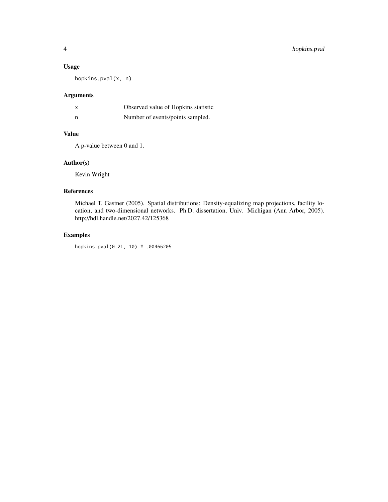#### Usage

hopkins.pval(x, n)

#### Arguments

|   | Observed value of Hopkins statistic |
|---|-------------------------------------|
| n | Number of events/points sampled.    |

#### Value

A p-value between 0 and 1.

#### Author(s)

Kevin Wright

#### References

Michael T. Gastner (2005). Spatial distributions: Density-equalizing map projections, facility location, and two-dimensional networks. Ph.D. dissertation, Univ. Michigan (Ann Arbor, 2005). http://hdl.handle.net/2027.42/125368

#### Examples

hopkins.pval(0.21, 10) # .00466205